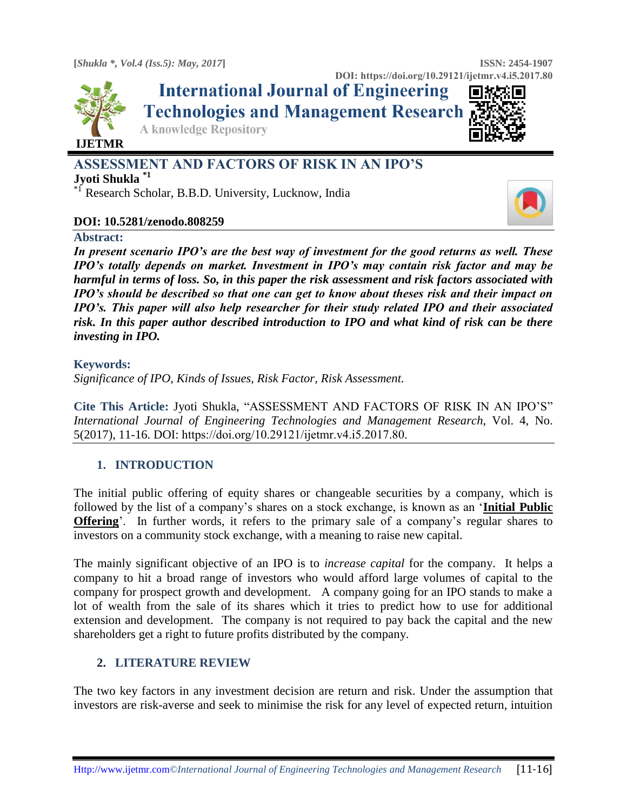

**International Journal of Engineering Technologies and Management Research** 

**A knowledge Repository** 



# **ASSESSMENT AND FACTORS OF RISK IN AN IPO'S**

**Jyoti Shukla \*1**

\*1 Research Scholar, B.B.D. University, Lucknow, India

## **DOI: 10.5281/zenodo.808259**

#### **Abstract:**

*In present scenario IPO's are the best way of investment for the good returns as well. These IPO's totally depends on market. Investment in IPO's may contain risk factor and may be harmful in terms of loss. So, in this paper the risk assessment and risk factors associated with IPO's should be described so that one can get to know about theses risk and their impact on IPO's. This paper will also help researcher for their study related IPO and their associated risk. In this paper author described introduction to IPO and what kind of risk can be there investing in IPO.* 

#### **Keywords:**

*Significance of IPO, Kinds of Issues, Risk Factor, Risk Assessment.* 

**Cite This Article:** Jyoti Shukla, "ASSESSMENT AND FACTORS OF RISK IN AN IPO'S" *International Journal of Engineering Technologies and Management Research,* Vol. 4, No. 5(2017), 11-16. DOI: https://doi.org/10.29121/ijetmr.v4.i5.2017.80.

# **1. INTRODUCTION**

The initial public offering of equity shares or changeable securities by a company, which is followed by the list of a company's shares on a stock exchange, is known as an '**Initial Public Offering**'. In further words, it refers to the primary sale of a company's regular shares to investors on a community stock exchange, with a meaning to raise new capital.

The mainly significant objective of an IPO is to *increase capital* for the company. It helps a company to hit a broad range of investors who would afford large volumes of capital to the company for prospect growth and development. A company going for an IPO stands to make a lot of wealth from the sale of its shares which it tries to predict how to use for additional extension and development. The company is not required to pay back the capital and the new shareholders get a right to future profits distributed by the company.

# **2. LITERATURE REVIEW**

The two key factors in any investment decision are return and risk. Under the assumption that investors are risk-averse and seek to minimise the risk for any level of expected return, intuition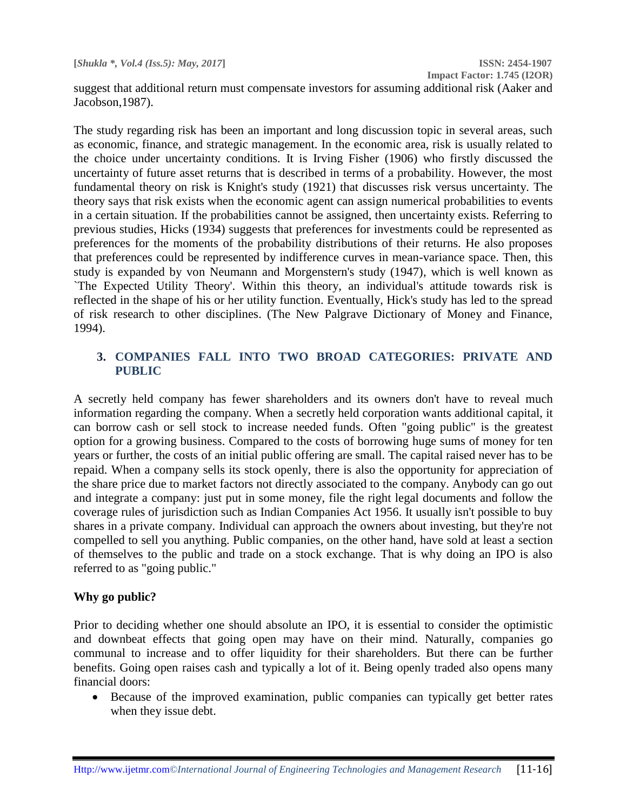**Impact Factor: 1.745 (I2OR)**

suggest that additional return must compensate investors for assuming additional risk (Aaker and Jacobson,1987).

The study regarding risk has been an important and long discussion topic in several areas, such as economic, finance, and strategic management. In the economic area, risk is usually related to the choice under uncertainty conditions. It is Irving Fisher (1906) who firstly discussed the uncertainty of future asset returns that is described in terms of a probability. However, the most fundamental theory on risk is Knight's study (1921) that discusses risk versus uncertainty. The theory says that risk exists when the economic agent can assign numerical probabilities to events in a certain situation. If the probabilities cannot be assigned, then uncertainty exists. Referring to previous studies, Hicks (1934) suggests that preferences for investments could be represented as preferences for the moments of the probability distributions of their returns. He also proposes that preferences could be represented by indifference curves in mean-variance space. Then, this study is expanded by von Neumann and Morgenstern's study (1947), which is well known as `The Expected Utility Theory'. Within this theory, an individual's attitude towards risk is reflected in the shape of his or her utility function. Eventually, Hick's study has led to the spread of risk research to other disciplines. (The New Palgrave Dictionary of Money and Finance, 1994).

# **3. COMPANIES FALL INTO TWO BROAD CATEGORIES: PRIVATE AND PUBLIC**

A secretly held company has fewer shareholders and its owners don't have to reveal much information regarding the company. When a secretly held corporation wants additional capital, it can borrow cash or sell stock to increase needed funds. Often "going public" is the greatest option for a growing business. Compared to the costs of borrowing huge sums of money for ten years or further, the costs of an initial public offering are small. The capital raised never has to be repaid. When a company sells its stock openly, there is also the opportunity for appreciation of the share price due to market factors not directly associated to the company. Anybody can go out and integrate a company: just put in some money, file the right legal documents and follow the coverage rules of jurisdiction such as Indian Companies Act 1956. It usually isn't possible to buy shares in a private company. Individual can approach the owners about investing, but they're not compelled to sell you anything. Public companies, on the other hand, have sold at least a section of themselves to the public and trade on a stock exchange. That is why doing an IPO is also referred to as "going public."

# **Why go public?**

Prior to deciding whether one should absolute an IPO, it is essential to consider the optimistic and downbeat effects that going open may have on their mind. Naturally, companies go communal to increase and to offer liquidity for their shareholders. But there can be further benefits. Going open raises cash and typically a lot of it. Being openly traded also opens many financial doors:

 Because of the improved examination, public companies can typically get better rates when they issue debt.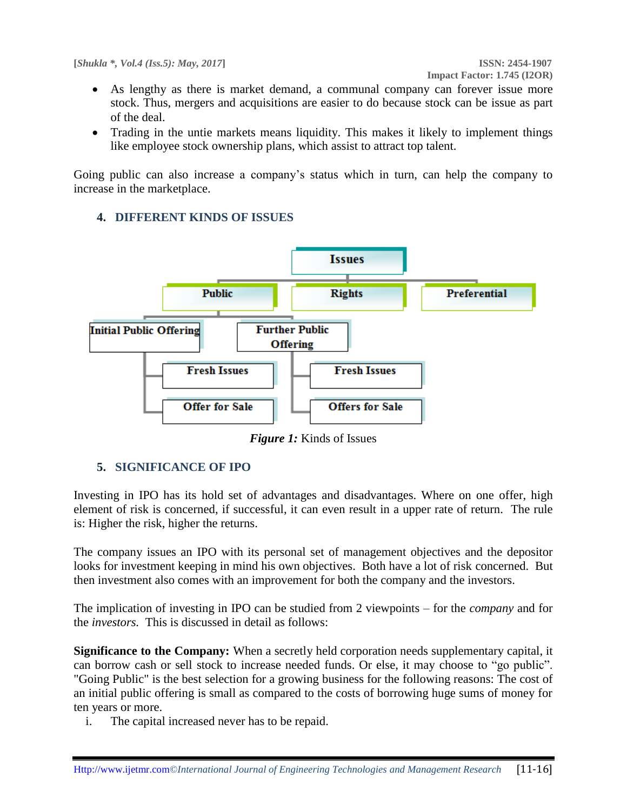- As lengthy as there is market demand, a communal company can forever issue more stock. Thus, mergers and acquisitions are easier to do because stock can be issue as part of the deal.
- Trading in the untie markets means liquidity. This makes it likely to implement things like employee stock ownership plans, which assist to attract top talent.

Going public can also increase a company's status which in turn, can help the company to increase in the marketplace.

# **4. DIFFERENT KINDS OF ISSUES**



*Figure 1:* Kinds of Issues

# **5. SIGNIFICANCE OF IPO**

Investing in IPO has its hold set of advantages and disadvantages. Where on one offer, high element of risk is concerned, if successful, it can even result in a upper rate of return. The rule is: Higher the risk, higher the returns.

The company issues an IPO with its personal set of management objectives and the depositor looks for investment keeping in mind his own objectives. Both have a lot of risk concerned. But then investment also comes with an improvement for both the company and the investors.

The implication of investing in IPO can be studied from 2 viewpoints – for the *company* and for the *investors.* This is discussed in detail as follows:

**Significance to the Company:** When a secretly held corporation needs supplementary capital, it can borrow cash or sell stock to increase needed funds. Or else, it may choose to "go public". "Going Public" is the best selection for a growing business for the following reasons: The cost of an initial public offering is small as compared to the costs of borrowing huge sums of money for ten years or more.

i. The capital increased never has to be repaid.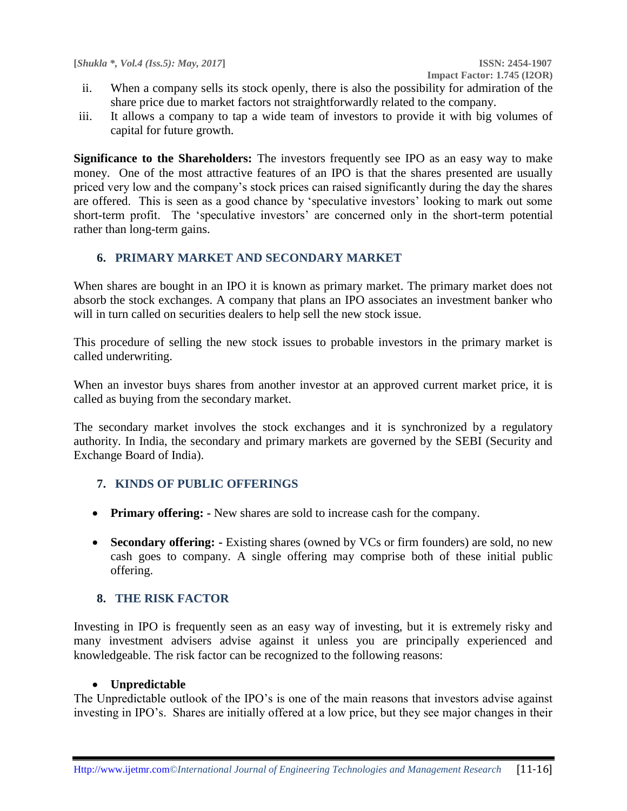- ii. When a company sells its stock openly, there is also the possibility for admiration of the share price due to market factors not straightforwardly related to the company.
- iii. It allows a company to tap a wide team of investors to provide it with big volumes of capital for future growth.

**Significance to the Shareholders:** The investors frequently see IPO as an easy way to make money. One of the most attractive features of an IPO is that the shares presented are usually priced very low and the company's stock prices can raised significantly during the day the shares are offered. This is seen as a good chance by 'speculative investors' looking to mark out some short-term profit. The 'speculative investors' are concerned only in the short-term potential rather than long-term gains.

## **6. PRIMARY MARKET AND SECONDARY MARKET**

When shares are bought in an IPO it is known as primary market. The primary market does not absorb the stock exchanges. A company that plans an IPO associates an investment banker who will in turn called on securities dealers to help sell the new stock issue.

This procedure of selling the new stock issues to probable investors in the primary market is called underwriting.

When an investor buys shares from another investor at an approved current market price, it is called as buying from the secondary market.

The secondary market involves the stock exchanges and it is synchronized by a regulatory authority. In India, the secondary and primary markets are governed by the SEBI (Security and Exchange Board of India).

# **7. KINDS OF PUBLIC OFFERINGS**

- **Primary offering: -** New shares are sold to increase cash for the company.
- **Secondary offering: -** Existing shares (owned by VCs or firm founders) are sold, no new cash goes to company. A single offering may comprise both of these initial public offering.

#### **8. THE RISK FACTOR**

Investing in IPO is frequently seen as an easy way of investing, but it is extremely risky and many investment advisers advise against it unless you are principally experienced and knowledgeable. The risk factor can be recognized to the following reasons:

#### **Unpredictable**

The Unpredictable outlook of the IPO's is one of the main reasons that investors advise against investing in IPO's. Shares are initially offered at a low price, but they see major changes in their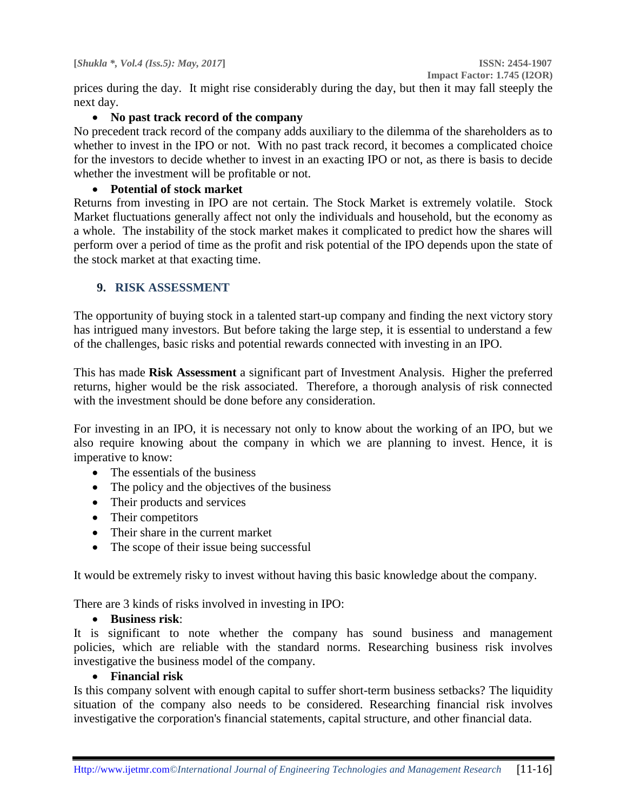prices during the day. It might rise considerably during the day, but then it may fall steeply the next day.

# **No past track record of the company**

No precedent track record of the company adds auxiliary to the dilemma of the shareholders as to whether to invest in the IPO or not. With no past track record, it becomes a complicated choice for the investors to decide whether to invest in an exacting IPO or not, as there is basis to decide whether the investment will be profitable or not.

# **Potential of stock market**

Returns from investing in IPO are not certain. The Stock Market is extremely volatile. Stock Market fluctuations generally affect not only the individuals and household, but the economy as a whole. The instability of the stock market makes it complicated to predict how the shares will perform over a period of time as the profit and risk potential of the IPO depends upon the state of the stock market at that exacting time.

# **9. RISK ASSESSMENT**

The opportunity of buying stock in a talented start-up company and finding the next victory story has intrigued many investors. But before taking the large step, it is essential to understand a few of the challenges, basic risks and potential rewards connected with investing in an IPO.

This has made **Risk Assessment** a significant part of Investment Analysis. Higher the preferred returns, higher would be the risk associated. Therefore, a thorough analysis of risk connected with the investment should be done before any consideration.

For investing in an IPO, it is necessary not only to know about the working of an IPO, but we also require knowing about the company in which we are planning to invest. Hence, it is imperative to know:

- The essentials of the business
- The policy and the objectives of the business
- Their products and services
- Their competitors
- Their share in the current market
- The scope of their issue being successful

It would be extremely risky to invest without having this basic knowledge about the company.

There are 3 kinds of risks involved in investing in IPO:

#### **Business risk**:

It is significant to note whether the company has sound business and management policies, which are reliable with the standard norms. Researching business risk involves investigative the business model of the company.

## **Financial risk**

Is this company solvent with enough capital to suffer short-term business setbacks? The liquidity situation of the company also needs to be considered. Researching financial risk involves investigative the corporation's financial statements, capital structure, and other financial data.